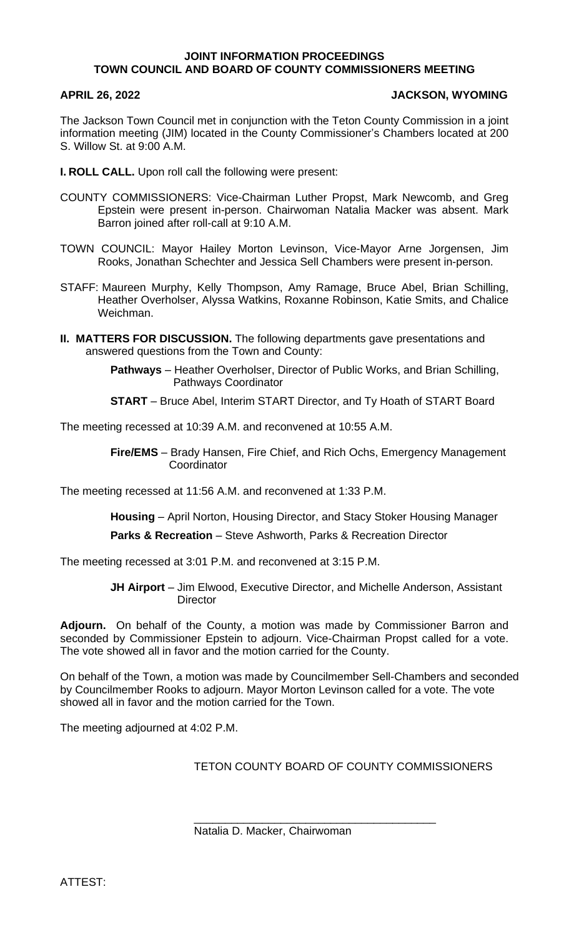## **JOINT INFORMATION PROCEEDINGS TOWN COUNCIL AND BOARD OF COUNTY COMMISSIONERS MEETING**

## **APRIL 26, 2022 JACKSON, WYOMING**

The Jackson Town Council met in conjunction with the Teton County Commission in a joint information meeting (JIM) located in the County Commissioner's Chambers located at 200 S. Willow St. at 9:00 A.M.

**I. ROLL CALL.** Upon roll call the following were present:

- COUNTY COMMISSIONERS: Vice-Chairman Luther Propst, Mark Newcomb, and Greg Epstein were present in-person. Chairwoman Natalia Macker was absent. Mark Barron joined after roll-call at 9:10 A.M.
- TOWN COUNCIL: Mayor Hailey Morton Levinson, Vice-Mayor Arne Jorgensen, Jim Rooks, Jonathan Schechter and Jessica Sell Chambers were present in-person.
- STAFF: Maureen Murphy, Kelly Thompson, Amy Ramage, Bruce Abel, Brian Schilling, Heather Overholser, Alyssa Watkins, Roxanne Robinson, Katie Smits, and Chalice Weichman.
- **II. MATTERS FOR DISCUSSION.** The following departments gave presentations and answered questions from the Town and County:

**Pathways** – Heather Overholser, Director of Public Works, and Brian Schilling, Pathways Coordinator

**START** – Bruce Abel, Interim START Director, and Ty Hoath of START Board

The meeting recessed at 10:39 A.M. and reconvened at 10:55 A.M.

**Fire/EMS** – Brady Hansen, Fire Chief, and Rich Ochs, Emergency Management **Coordinator** 

The meeting recessed at 11:56 A.M. and reconvened at 1:33 P.M.

**Housing** – April Norton, Housing Director, and Stacy Stoker Housing Manager

**Parks & Recreation** – Steve Ashworth, Parks & Recreation Director

The meeting recessed at 3:01 P.M. and reconvened at 3:15 P.M.

**JH Airport** – Jim Elwood, Executive Director, and Michelle Anderson, Assistant **Director** 

**Adjourn.** On behalf of the County, a motion was made by Commissioner Barron and seconded by Commissioner Epstein to adjourn. Vice-Chairman Propst called for a vote. The vote showed all in favor and the motion carried for the County.

On behalf of the Town, a motion was made by Councilmember Sell-Chambers and seconded by Councilmember Rooks to adjourn. Mayor Morton Levinson called for a vote. The vote showed all in favor and the motion carried for the Town.

The meeting adjourned at 4:02 P.M.

TETON COUNTY BOARD OF COUNTY COMMISSIONERS

\_\_\_\_\_\_\_\_\_\_\_\_\_\_\_\_\_\_\_\_\_\_\_\_\_\_\_\_\_\_\_\_\_\_\_\_\_\_\_

Natalia D. Macker, Chairwoman